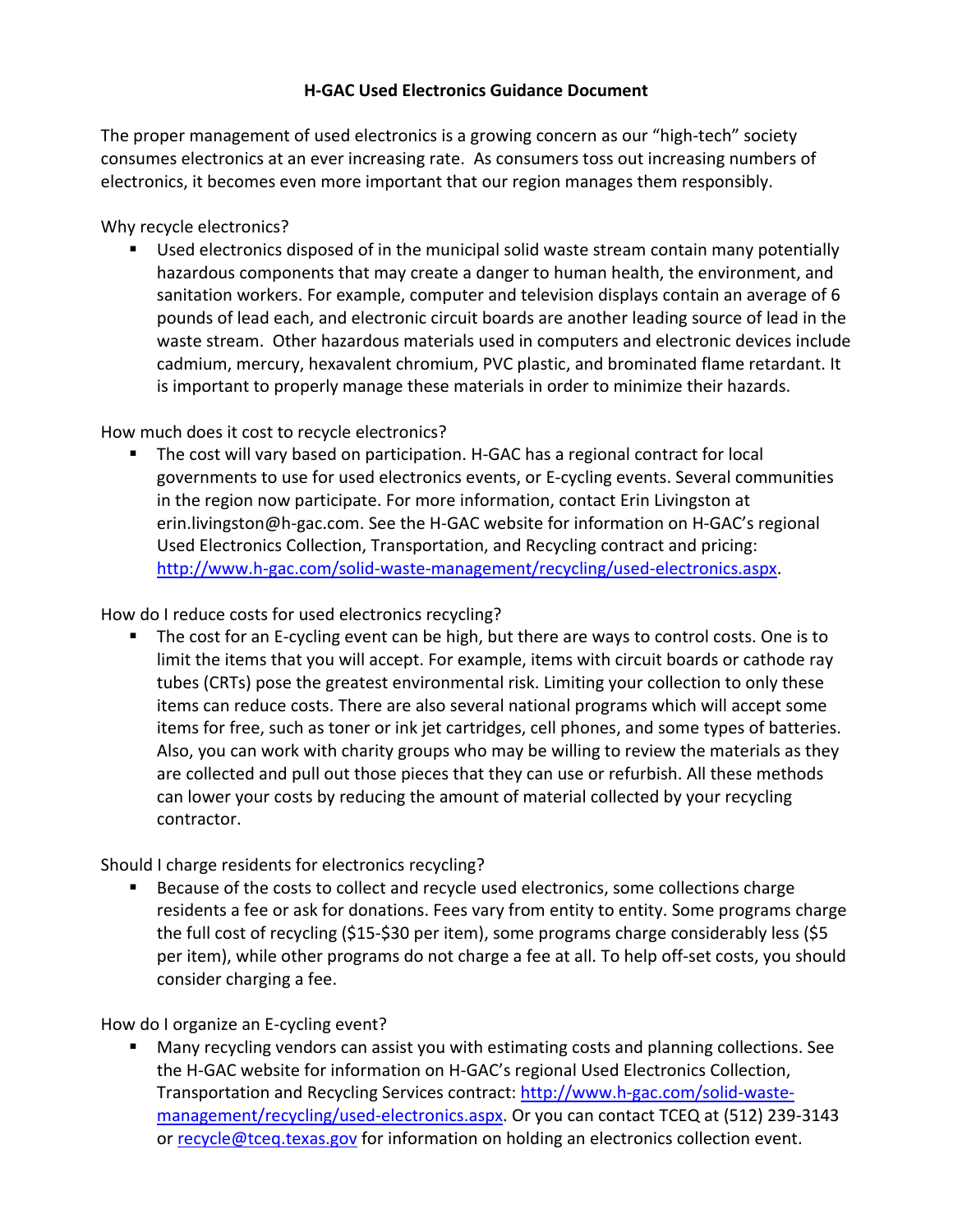## **H-GAC Used Electronics Guidance Document**

The proper management of used electronics is a growing concern as our "high-tech" society consumes electronics at an ever increasing rate. As consumers toss out increasing numbers of electronics, it becomes even more important that our region manages them responsibly.

Why recycle electronics?

■ Used electronics disposed of in the municipal solid waste stream contain many potentially hazardous components that may create a danger to human health, the environment, and sanitation workers. For example, computer and television displays contain an average of 6 pounds of lead each, and electronic circuit boards are another leading source of lead in the waste stream. Other hazardous materials used in computers and electronic devices include cadmium, mercury, hexavalent chromium, PVC plastic, and brominated flame retardant. It is important to properly manage these materials in order to minimize their hazards.

## How much does it cost to recycle electronics?

■ The cost will vary based on participation. H-GAC has a regional contract for local governments to use for used electronics events, or E-cycling events. Several communities in the region now participate. For more information, contact Erin Livingston at erin.livingston@h-gac.com. See the H-GAC website for information on H-GAC's regional Used Electronics Collection, Transportation, and Recycling contract and pricing: [http://www.h-gac.com/solid-waste-management/recycling/used-electronics.aspx.](http://www.h-gac.com/solid-waste-management/recycling/used-electronics.aspx)

How do I reduce costs for used electronics recycling?

The cost for an E-cycling event can be high, but there are ways to control costs. One is to limit the items that you will accept. For example, items with circuit boards or cathode ray tubes (CRTs) pose the greatest environmental risk. Limiting your collection to only these items can reduce costs. There are also several national programs which will accept some items for free, such as toner or ink jet cartridges, cell phones, and some types of batteries. Also, you can work with charity groups who may be willing to review the materials as they are collected and pull out those pieces that they can use or refurbish. All these methods can lower your costs by reducing the amount of material collected by your recycling contractor.

Should I charge residents for electronics recycling?

■ Because of the costs to collect and recycle used electronics, some collections charge residents a fee or ask for donations. Fees vary from entity to entity. Some programs charge the full cost of recycling (\$15-\$30 per item), some programs charge considerably less (\$5 per item), while other programs do not charge a fee at all. To help off-set costs, you should consider charging a fee.

How do I organize an E-cycling event?

Many recycling vendors can assist you with estimating costs and planning collections. See the H-GAC website for information on H-GAC's regional Used Electronics Collection, Transportation and Recycling Services contract: [http://www.h-gac.com/solid-waste](http://www.h-gac.com/solid-waste-management/recycling/used-electronics.aspx)[management/recycling/used-electronics.aspx.](http://www.h-gac.com/solid-waste-management/recycling/used-electronics.aspx) Or you can contact TCEQ at (512) 239-3143 or [recycle@tceq.texas.gov](mailto:recycle@tceq.texas.gov) for information on holding an electronics collection event.